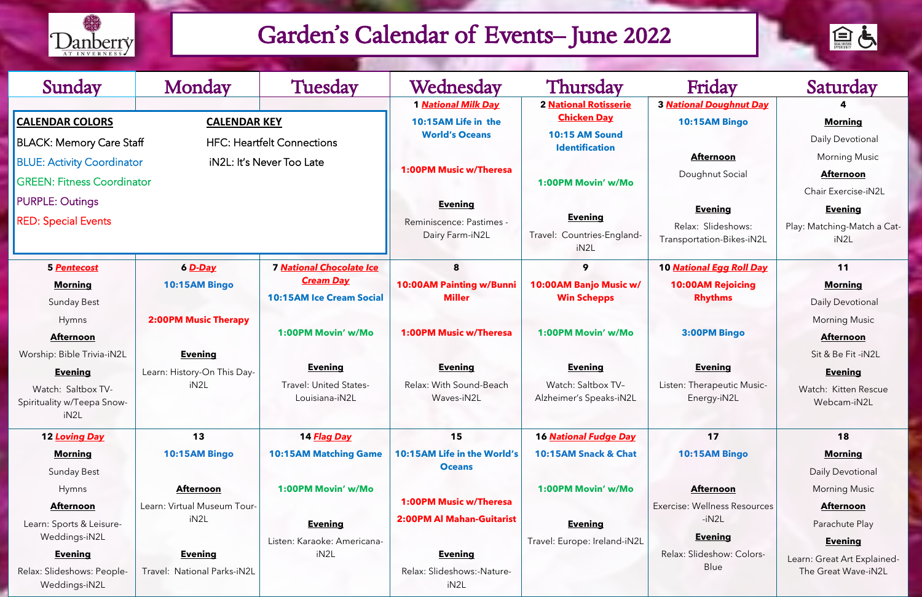## **3** *National Doughnut Day*

#### **10:15AM Bingo**

#### **Afternoon**

#### **Evening**

## **4**

### **Morning**

#### **Afternoon**

#### **Evening**

Play: Matching-Match a CatiN2L

#### **10** *National Egg Roll Day*

#### **3:00PM Bingo**

#### **Evening**

| Sunday                                                                                                                                 | Monday                                                | <b>Tuesday</b>                                                    | Wednesday                                                     | Thursday                                                        | Friday                                                            | Saturday                                                                   |
|----------------------------------------------------------------------------------------------------------------------------------------|-------------------------------------------------------|-------------------------------------------------------------------|---------------------------------------------------------------|-----------------------------------------------------------------|-------------------------------------------------------------------|----------------------------------------------------------------------------|
| <b>CALENDAR COLORS</b>                                                                                                                 | <b>CALENDAR KEY</b>                                   |                                                                   | <b>1 National Milk Day</b><br>10:15AM Life in the             | <b>2 National Rotisserie</b><br><b>Chicken Day</b>              | <b>3 National Doughnut Day</b><br>10:15AM Bingo                   | <b>Morning</b>                                                             |
| <b>BLACK: Memory Care Staff</b><br><b>HFC: Heartfelt Connections</b><br><b>BLUE: Activity Coordinator</b><br>iN2L: It's Never Too Late |                                                       |                                                                   | <b>World's Oceans</b>                                         | 10:15 AM Sound<br><b>Identification</b>                         | <b>Afternoon</b>                                                  | Daily Devotional<br><b>Morning Music</b>                                   |
| <b>GREEN: Fitness Coordinator</b>                                                                                                      |                                                       |                                                                   | <b>1:00PM Music w/Theresa</b>                                 | 1:00PM Movin' w/Mo                                              | Doughnut Social                                                   | <b>Afternoon</b><br>Chair Exercise-iN2                                     |
| <b>PURPLE: Outings</b><br><b>RED: Special Events</b>                                                                                   |                                                       |                                                                   | <b>Evening</b><br>Reminiscence: Pastimes -<br>Dairy Farm-iN2L | <b>Evening</b><br>Travel: Countries-England-<br>iN2L            | <b>Evening</b><br>Relax: Slideshows:<br>Transportation-Bikes-iN2L | <b>Evening</b><br>Play: Matching-Match a<br>iN2L                           |
| 5 Pentecost                                                                                                                            | 6 D-Day                                               | <b>7 National Chocolate Ice</b>                                   | 8                                                             | 9                                                               | 10 National Egg Roll Day                                          | 11                                                                         |
| <b>Morning</b><br>Sunday Best                                                                                                          | 10:15AM Bingo                                         | <b>Cream Day</b><br><b>10:15AM Ice Cream Social</b>               | <b>10:00AM Painting w/Bunni</b><br><b>Miller</b>              | 10:00AM Banjo Music w/<br><b>Win Schepps</b>                    | <b>10:00AM Rejoicing</b><br><b>Rhythms</b>                        | <b>Morning</b><br>Daily Devotional                                         |
| Hymns<br><b>Afternoon</b>                                                                                                              | <b>2:00PM Music Therapy</b>                           | 1:00PM Movin' w/Mo                                                | <b>1:00PM Music w/Theresa</b>                                 | 1:00PM Movin' w/Mo                                              | 3:00PM Bingo                                                      | <b>Morning Music</b><br><b>Afternoon</b>                                   |
| Worship: Bible Trivia-iN2L<br><b>Evening</b><br>Watch: Saltbox TV-<br>Spirituality w/Teepa Snow-<br>iN2L                               | <b>Evening</b><br>Learn: History-On This Day-<br>iN2L | <b>Evening</b><br><b>Travel: United States-</b><br>Louisiana-iN2L | <b>Evening</b><br>Relax: With Sound-Beach<br>Waves-iN2L       | <b>Evening</b><br>Watch: Saltbox TV-<br>Alzheimer's Speaks-iN2L | <b>Evening</b><br>Listen: Therapeutic Music-<br>Energy-iN2L       | Sit & Be Fit -iN2L<br><b>Evening</b><br>Watch: Kitten Rescu<br>Webcam-iN2L |
| 12 Loving Day                                                                                                                          | 13                                                    | 14 Flag Day                                                       | 15                                                            | <b>16 National Fudge Day</b>                                    | 17                                                                | 18                                                                         |
| <b>Morning</b><br>Sunday Best                                                                                                          | 10:15AM Bingo                                         | <b>10:15AM Matching Game</b>                                      | 10:15AM Life in the World's<br><b>Oceans</b>                  | 10:15AM Snack & Chat                                            | 10:15AM Bingo                                                     | <b>Morning</b><br>Daily Devotional                                         |
| Hymns                                                                                                                                  | <b>Afternoon</b>                                      | 1:00PM Movin' w/Mo                                                |                                                               | 1:00PM Movin' w/Mo                                              | <b>Afternoon</b>                                                  | <b>Morning Music</b>                                                       |
| <b>Afternoon</b>                                                                                                                       | Learn: Virtual Museum Tour-                           |                                                                   | <b>1:00PM Music w/Theresa</b>                                 |                                                                 | Exercise: Wellness Resources                                      | <b>Afternoon</b>                                                           |
| Learn: Sports & Leisure-<br>Weddings-iN2L                                                                                              | iN2L                                                  | <b>Evening</b>                                                    | <b>2:00PM Al Mahan-Guitarist</b>                              | <b>Evening</b>                                                  | $-iN2L$<br><b>Evening</b>                                         | Parachute Play                                                             |
| <b>Evening</b>                                                                                                                         | <b>Evening</b>                                        | Listen: Karaoke: Americana-<br>iN <sub>2</sub> L                  | <b>Evening</b>                                                | Travel: Europe: Ireland-iN2L                                    | Relax: Slideshow: Colors-                                         | <b>Evening</b>                                                             |
| Relax: Slideshows: People-<br>Weddings-iN2L                                                                                            | Travel: National Parks-iN2L                           |                                                                   | Relax: Slideshows:-Nature-<br>iN2L                            |                                                                 | Blue                                                              | Learn: Great Art Explair<br>The Great Wave-iN2                             |



#### **11**

#### **Afternoon**

#### **Evening**

Watch: Kitten Rescue Webcam-iN2L

#### **17**

#### **Afternoon**

#### **Evening**

#### **18**

#### **Morning**

#### **Afternoon**

#### **Evening**

Learn: Great Art Explained-The Great Wave-iN2L



### Garden's Calendar of Events– June 2022